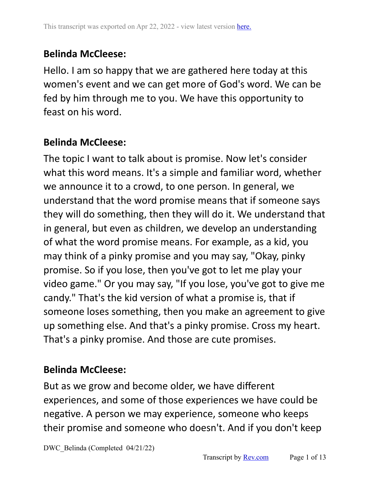## **Belinda McCleese:**

Hello. I am so happy that we are gathered here today at this women's event and we can get more of God's word. We can be fed by him through me to you. We have this opportunity to feast on his word.

## **Belinda McCleese:**

The topic I want to talk about is promise. Now let's consider what this word means. It's a simple and familiar word, whether we announce it to a crowd, to one person. In general, we understand that the word promise means that if someone says they will do something, then they will do it. We understand that in general, but even as children, we develop an understanding of what the word promise means. For example, as a kid, you may think of a pinky promise and you may say, "Okay, pinky promise. So if you lose, then you've got to let me play your video game." Or you may say, "If you lose, you've got to give me candy." That's the kid version of what a promise is, that if someone loses something, then you make an agreement to give up something else. And that's a pinky promise. Cross my heart. That's a pinky promise. And those are cute promises.

### **Belinda McCleese:**

But as we grow and become older, we have different experiences, and some of those experiences we have could be negative. A person we may experience, someone who keeps their promise and someone who doesn't. And if you don't keep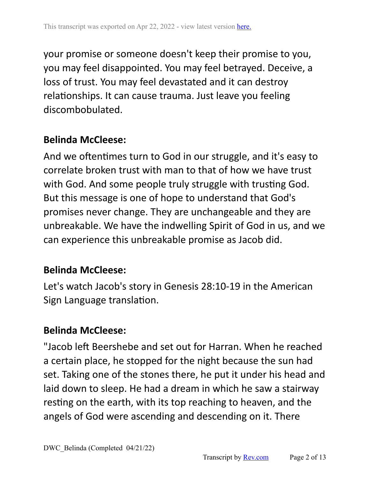your promise or someone doesn't keep their promise to you, you may feel disappointed. You may feel betrayed. Deceive, a loss of trust. You may feel devastated and it can destroy relationships. It can cause trauma. Just leave you feeling discombobulated.

### **Belinda McCleese:**

And we oftentimes turn to God in our struggle, and it's easy to correlate broken trust with man to that of how we have trust with God. And some people truly struggle with trusting God. But this message is one of hope to understand that God's promises never change. They are unchangeable and they are unbreakable. We have the indwelling Spirit of God in us, and we can experience this unbreakable promise as Jacob did.

### **Belinda McCleese:**

Let's watch Jacob's story in Genesis 28:10-19 in the American Sign Language translation.

### **Belinda McCleese:**

"Jacob left Beershebe and set out for Harran. When he reached a certain place, he stopped for the night because the sun had set. Taking one of the stones there, he put it under his head and laid down to sleep. He had a dream in which he saw a stairway resting on the earth, with its top reaching to heaven, and the angels of God were ascending and descending on it. There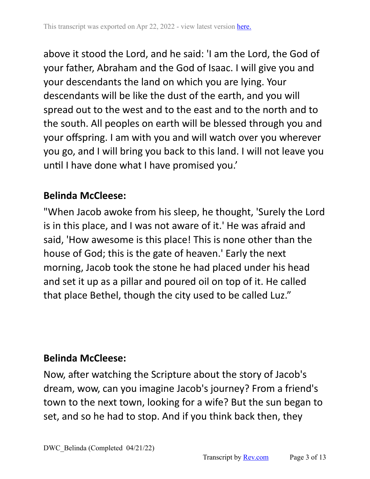above it stood the Lord, and he said: 'I am the Lord, the God of your father, Abraham and the God of Isaac. I will give you and your descendants the land on which you are lying. Your descendants will be like the dust of the earth, and you will spread out to the west and to the east and to the north and to the south. All peoples on earth will be blessed through you and your offspring. I am with you and will watch over you wherever you go, and I will bring you back to this land. I will not leave you until I have done what I have promised you.'

## **Belinda McCleese:**

"When Jacob awoke from his sleep, he thought, 'Surely the Lord is in this place, and I was not aware of it.' He was afraid and said, 'How awesome is this place! This is none other than the house of God; this is the gate of heaven.' Early the next morning, Jacob took the stone he had placed under his head and set it up as a pillar and poured oil on top of it. He called that place Bethel, though the city used to be called Luz."

## **Belinda McCleese:**

Now, after watching the Scripture about the story of Jacob's dream, wow, can you imagine Jacob's journey? From a friend's town to the next town, looking for a wife? But the sun began to set, and so he had to stop. And if you think back then, they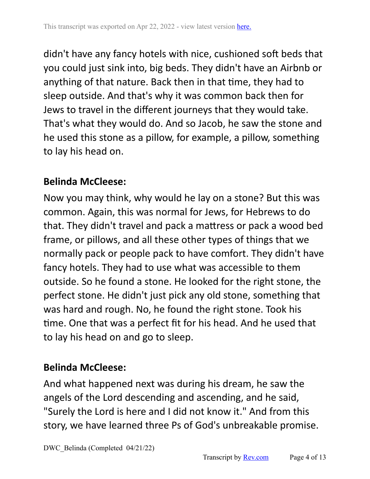didn't have any fancy hotels with nice, cushioned soft beds that you could just sink into, big beds. They didn't have an Airbnb or anything of that nature. Back then in that time, they had to sleep outside. And that's why it was common back then for Jews to travel in the different journeys that they would take. That's what they would do. And so Jacob, he saw the stone and he used this stone as a pillow, for example, a pillow, something to lay his head on.

## **Belinda McCleese:**

Now you may think, why would he lay on a stone? But this was common. Again, this was normal for Jews, for Hebrews to do that. They didn't travel and pack a mattress or pack a wood bed frame, or pillows, and all these other types of things that we normally pack or people pack to have comfort. They didn't have fancy hotels. They had to use what was accessible to them outside. So he found a stone. He looked for the right stone, the perfect stone. He didn't just pick any old stone, something that was hard and rough. No, he found the right stone. Took his time. One that was a perfect fit for his head. And he used that to lay his head on and go to sleep.

## **Belinda McCleese:**

And what happened next was during his dream, he saw the angels of the Lord descending and ascending, and he said, "Surely the Lord is here and I did not know it." And from this story, we have learned three Ps of God's unbreakable promise.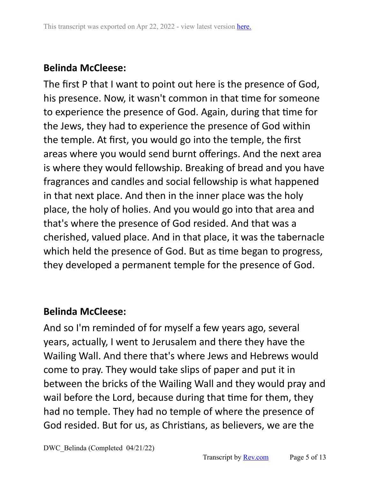# **Belinda McCleese:**

The first P that I want to point out here is the presence of God, his presence. Now, it wasn't common in that time for someone to experience the presence of God. Again, during that time for the Jews, they had to experience the presence of God within the temple. At first, you would go into the temple, the first areas where you would send burnt offerings. And the next area is where they would fellowship. Breaking of bread and you have fragrances and candles and social fellowship is what happened in that next place. And then in the inner place was the holy place, the holy of holies. And you would go into that area and that's where the presence of God resided. And that was a cherished, valued place. And in that place, it was the tabernacle which held the presence of God. But as time began to progress, they developed a permanent temple for the presence of God.

## **Belinda McCleese:**

And so I'm reminded of for myself a few years ago, several years, actually, I went to Jerusalem and there they have the Wailing Wall. And there that's where Jews and Hebrews would come to pray. They would take slips of paper and put it in between the bricks of the Wailing Wall and they would pray and wail before the Lord, because during that time for them, they had no temple. They had no temple of where the presence of God resided. But for us, as Christians, as believers, we are the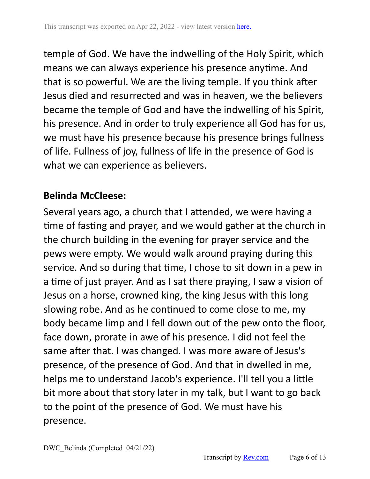temple of God. We have the indwelling of the Holy Spirit, which means we can always experience his presence anytime. And that is so powerful. We are the living temple. If you think after Jesus died and resurrected and was in heaven, we the believers became the temple of God and have the indwelling of his Spirit, his presence. And in order to truly experience all God has for us, we must have his presence because his presence brings fullness of life. Fullness of joy, fullness of life in the presence of God is what we can experience as believers.

### **Belinda McCleese:**

Several years ago, a church that I attended, we were having a time of fasting and prayer, and we would gather at the church in the church building in the evening for prayer service and the pews were empty. We would walk around praying during this service. And so during that time, I chose to sit down in a pew in a time of just prayer. And as I sat there praying, I saw a vision of Jesus on a horse, crowned king, the king Jesus with this long slowing robe. And as he continued to come close to me, my body became limp and I fell down out of the pew onto the floor, face down, prorate in awe of his presence. I did not feel the same after that. I was changed. I was more aware of Jesus's presence, of the presence of God. And that in dwelled in me, helps me to understand Jacob's experience. I'll tell you a little bit more about that story later in my talk, but I want to go back to the point of the presence of God. We must have his presence.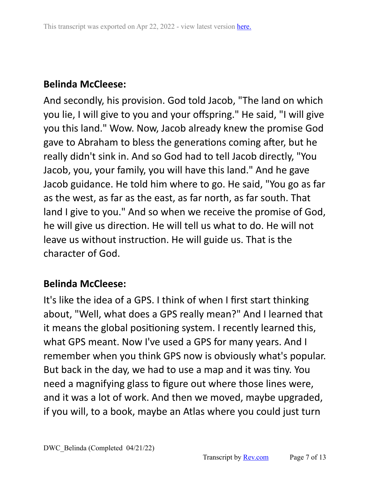## **Belinda McCleese:**

And secondly, his provision. God told Jacob, "The land on which you lie, I will give to you and your offspring." He said, "I will give you this land." Wow. Now, Jacob already knew the promise God gave to Abraham to bless the generations coming after, but he really didn't sink in. And so God had to tell Jacob directly, "You Jacob, you, your family, you will have this land." And he gave Jacob guidance. He told him where to go. He said, "You go as far as the west, as far as the east, as far north, as far south. That land I give to you." And so when we receive the promise of God, he will give us direction. He will tell us what to do. He will not leave us without instruction. He will guide us. That is the character of God.

### **Belinda McCleese:**

It's like the idea of a GPS. I think of when I first start thinking about, "Well, what does a GPS really mean?" And I learned that it means the global positioning system. I recently learned this, what GPS meant. Now I've used a GPS for many years. And I remember when you think GPS now is obviously what's popular. But back in the day, we had to use a map and it was tiny. You need a magnifying glass to figure out where those lines were, and it was a lot of work. And then we moved, maybe upgraded, if you will, to a book, maybe an Atlas where you could just turn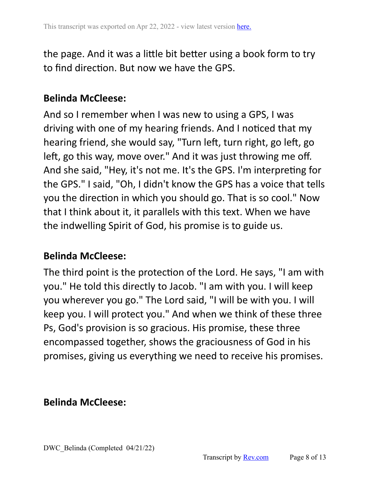the page. And it was a little bit better using a book form to try to find direction. But now we have the GPS.

## **Belinda McCleese:**

And so I remember when I was new to using a GPS, I was driving with one of my hearing friends. And I noticed that my hearing friend, she would say, "Turn left, turn right, go left, go left, go this way, move over." And it was just throwing me off. And she said, "Hey, it's not me. It's the GPS. I'm interpreting for the GPS." I said, "Oh, I didn't know the GPS has a voice that tells you the direction in which you should go. That is so cool." Now that I think about it, it parallels with this text. When we have the indwelling Spirit of God, his promise is to guide us.

### **Belinda McCleese:**

The third point is the protection of the Lord. He says, "I am with you." He told this directly to Jacob. "I am with you. I will keep you wherever you go." The Lord said, "I will be with you. I will keep you. I will protect you." And when we think of these three Ps, God's provision is so gracious. His promise, these three encompassed together, shows the graciousness of God in his promises, giving us everything we need to receive his promises.

### **Belinda McCleese:**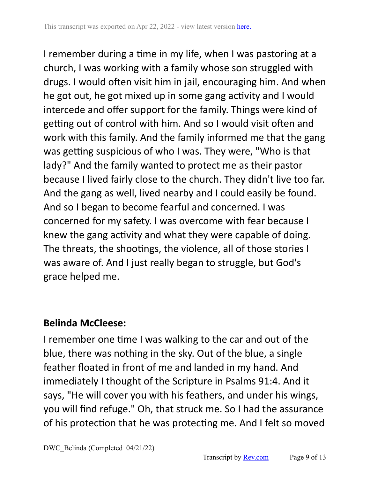I remember during a time in my life, when I was pastoring at a church, I was working with a family whose son struggled with drugs. I would often visit him in jail, encouraging him. And when he got out, he got mixed up in some gang activity and I would intercede and offer support for the family. Things were kind of getting out of control with him. And so I would visit often and work with this family. And the family informed me that the gang was getting suspicious of who I was. They were, "Who is that lady?" And the family wanted to protect me as their pastor because I lived fairly close to the church. They didn't live too far. And the gang as well, lived nearby and I could easily be found. And so I began to become fearful and concerned. I was concerned for my safety. I was overcome with fear because I knew the gang activity and what they were capable of doing. The threats, the shootings, the violence, all of those stories I was aware of. And I just really began to struggle, but God's grace helped me.

# **Belinda McCleese:**

I remember one time I was walking to the car and out of the blue, there was nothing in the sky. Out of the blue, a single feather floated in front of me and landed in my hand. And immediately I thought of the Scripture in Psalms 91:4. And it says, "He will cover you with his feathers, and under his wings, you will find refuge." Oh, that struck me. So I had the assurance of his protection that he was protecting me. And I felt so moved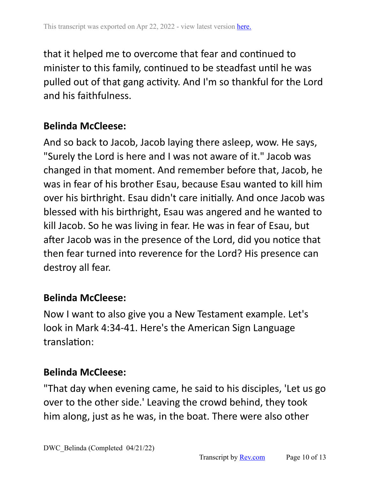that it helped me to overcome that fear and continued to minister to this family, continued to be steadfast until he was pulled out of that gang activity. And I'm so thankful for the Lord and his faithfulness.

### **Belinda McCleese:**

And so back to Jacob, Jacob laying there asleep, wow. He says, "Surely the Lord is here and I was not aware of it." Jacob was changed in that moment. And remember before that, Jacob, he was in fear of his brother Esau, because Esau wanted to kill him over his birthright. Esau didn't care initially. And once Jacob was blessed with his birthright, Esau was angered and he wanted to kill Jacob. So he was living in fear. He was in fear of Esau, but after Jacob was in the presence of the Lord, did you notice that then fear turned into reverence for the Lord? His presence can destroy all fear.

### **Belinda McCleese:**

Now I want to also give you a New Testament example. Let's look in Mark 4:34-41. Here's the American Sign Language translation:

#### **Belinda McCleese:**

"That day when evening came, he said to his disciples, 'Let us go over to the other side.' Leaving the crowd behind, they took him along, just as he was, in the boat. There were also other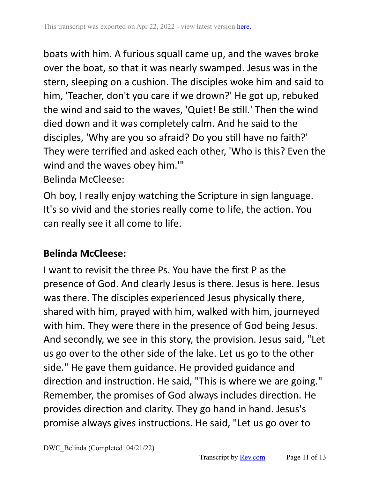boats with him. A furious squall came up, and the waves broke over the boat, so that it was nearly swamped. Jesus was in the stern, sleeping on a cushion. The disciples woke him and said to him, 'Teacher, don't you care if we drown?' He got up, rebuked the wind and said to the waves, 'Quiet! Be still.' Then the wind died down and it was completely calm. And he said to the disciples, 'Why are you so afraid? Do you still have no faith?' They were terrified and asked each other, 'Who is this? Even the wind and the waves obey him.'"

#### Belinda McCleese:

Oh boy, I really enjoy watching the Scripture in sign language. It's so vivid and the stories really come to life, the action. You can really see it all come to life.

## **Belinda McCleese:**

I want to revisit the three Ps. You have the first P as the presence of God. And clearly Jesus is there. Jesus is here. Jesus was there. The disciples experienced Jesus physically there, shared with him, prayed with him, walked with him, journeyed with him. They were there in the presence of God being Jesus. And secondly, we see in this story, the provision. Jesus said, "Let us go over to the other side of the lake. Let us go to the other side." He gave them guidance. He provided guidance and direction and instruction. He said, "This is where we are going." Remember, the promises of God always includes direction. He provides direction and clarity. They go hand in hand. Jesus's promise always gives instructions. He said, "Let us go over to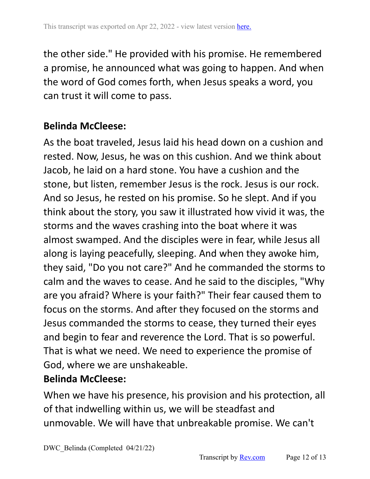the other side." He provided with his promise. He remembered a promise, he announced what was going to happen. And when the word of God comes forth, when Jesus speaks a word, you can trust it will come to pass.

## **Belinda McCleese:**

As the boat traveled, Jesus laid his head down on a cushion and rested. Now, Jesus, he was on this cushion. And we think about Jacob, he laid on a hard stone. You have a cushion and the stone, but listen, remember Jesus is the rock. Jesus is our rock. And so Jesus, he rested on his promise. So he slept. And if you think about the story, you saw it illustrated how vivid it was, the storms and the waves crashing into the boat where it was almost swamped. And the disciples were in fear, while Jesus all along is laying peacefully, sleeping. And when they awoke him, they said, "Do you not care?" And he commanded the storms to calm and the waves to cease. And he said to the disciples, "Why are you afraid? Where is your faith?" Their fear caused them to focus on the storms. And after they focused on the storms and Jesus commanded the storms to cease, they turned their eyes and begin to fear and reverence the Lord. That is so powerful. That is what we need. We need to experience the promise of God, where we are unshakeable.

## **Belinda McCleese:**

When we have his presence, his provision and his protection, all of that indwelling within us, we will be steadfast and unmovable. We will have that unbreakable promise. We can't